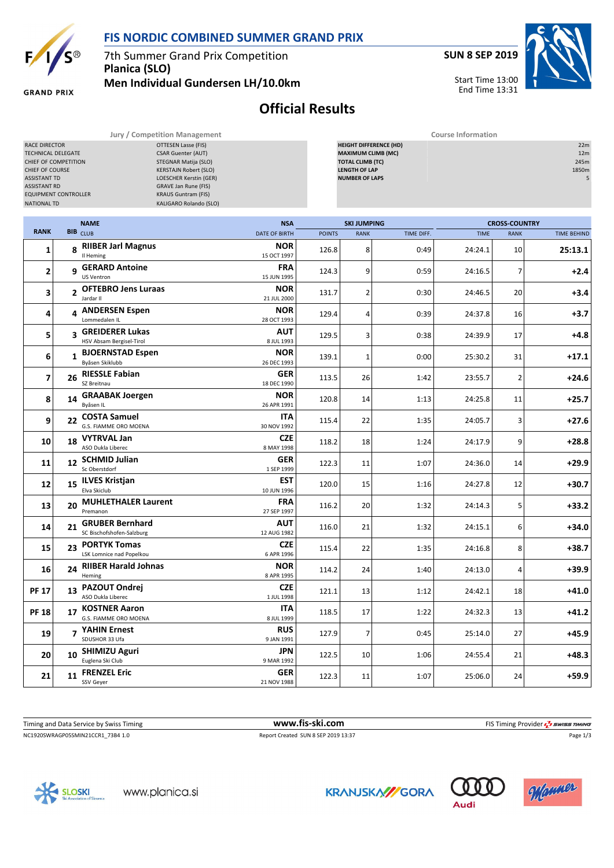

## **FIS NORDIC COMBINED SUMMER GRAND PRIX**

7th Summer Grand Prix Competition **Planica (SLO) Men Individual Gundersen LH/10.0km** **SUN 8 SEP 2019**

Start Time 13:00 End Time 13:31



**GRAND PRIX** 

## **Official Results**

**Jury / Competition Management Course Information**

| RACE DIRECTOR<br>TECHNICAL DELEGATE<br>CHIEF OF COMPETITION<br>CHIEF OF COURSE<br><b>ASSISTANT TD</b><br><b>ASSISTANT RD</b><br><b>EQUIPMENT CONTROLLER</b><br><b>NATIONAL TD</b> |              |                                                 | OTTESEN Lasse (FIS)<br><b>CSAR Guenter (AUT)</b><br>STEGNAR Matija (SLO)<br><b>KERSTAJN Robert (SLO)</b><br>LOESCHER Kerstin (GER)<br>GRAVE Jan Rune (FIS)<br><b>KRAUS Guntram (FIS)</b><br>KALIGARO Rolando (SLO) |               | <b>HEIGHT DIFFERENCE (HD)</b><br><b>MAXIMUM CLIMB (MC)</b><br><b>TOTAL CLIMB (TC)</b><br><b>LENGTH OF LAP</b><br><b>NUMBER OF LAPS</b> |            |             |                      |                    |  |
|-----------------------------------------------------------------------------------------------------------------------------------------------------------------------------------|--------------|-------------------------------------------------|--------------------------------------------------------------------------------------------------------------------------------------------------------------------------------------------------------------------|---------------|----------------------------------------------------------------------------------------------------------------------------------------|------------|-------------|----------------------|--------------------|--|
|                                                                                                                                                                                   |              | <b>NAME</b>                                     | <b>NSA</b>                                                                                                                                                                                                         |               | <b>SKI JUMPING</b>                                                                                                                     |            |             | <b>CROSS-COUNTRY</b> |                    |  |
| <b>RANK</b>                                                                                                                                                                       |              | <b>BIB</b> CLUB                                 | <b>DATE OF BIRTH</b>                                                                                                                                                                                               | <b>POINTS</b> | <b>RANK</b>                                                                                                                            | TIME DIFF. | <b>TIME</b> | <b>RANK</b>          | <b>TIME BEHIND</b> |  |
| 1                                                                                                                                                                                 |              | 8 RIIBER Jarl Magnus<br>Il Heming               | <b>NOR</b><br>15 OCT 1997                                                                                                                                                                                          | 126.8         | 8                                                                                                                                      | 0:49       | 24:24.1     | 10                   | 25:13.1            |  |
| 2                                                                                                                                                                                 |              | g GERARD Antoine<br>US Ventron                  | <b>FRA</b><br>15 JUN 1995                                                                                                                                                                                          | 124.3         | 9                                                                                                                                      | 0:59       | 24:16.5     | 7                    | $+2.4$             |  |
| 3                                                                                                                                                                                 |              | 2 OFTEBRO Jens Luraas<br>Jardar II              | <b>NOR</b><br>21 JUL 2000                                                                                                                                                                                          | 131.7         | $\overline{2}$                                                                                                                         | 0:30       | 24:46.5     | 20                   | $+3.4$             |  |
| 4                                                                                                                                                                                 |              | 4 ANDERSEN Espen<br>Lommedalen IL               | <b>NOR</b><br>28 OCT 1993                                                                                                                                                                                          | 129.4         | 4                                                                                                                                      | 0:39       | 24:37.8     | 16                   | +3.7               |  |
| 5                                                                                                                                                                                 |              | 3 GREIDERER Lukas<br>HSV Absam Bergisel-Tirol   | AUT<br>8 JUL 1993                                                                                                                                                                                                  | 129.5         | 3                                                                                                                                      | 0:38       | 24:39.9     | 17                   | $+4.8$             |  |
| 6                                                                                                                                                                                 | $\mathbf{1}$ | <b>BJOERNSTAD Espen</b><br>Byåsen Skiklubb      | <b>NOR</b><br>26 DEC 1993                                                                                                                                                                                          | 139.1         | $\mathbf{1}$                                                                                                                           | 0:00       | 25:30.2     | 31                   | $+17.1$            |  |
| 7                                                                                                                                                                                 |              | 26 RIESSLE Fabian<br>SZ Breitnau                | GER<br>18 DEC 1990                                                                                                                                                                                                 | 113.5         | 26                                                                                                                                     | 1:42       | 23:55.7     | 2                    | $+24.6$            |  |
| 8                                                                                                                                                                                 |              | 14 GRAABAK Joergen<br>Byåsen IL                 | <b>NOR</b><br>26 APR 1991                                                                                                                                                                                          | 120.8         | 14                                                                                                                                     | 1:13       | 24:25.8     | 11                   | $+25.7$            |  |
| 9                                                                                                                                                                                 |              | 22 COSTA Samuel<br>G.S. FIAMME ORO MOENA        | <b>ITA</b><br>30 NOV 1992                                                                                                                                                                                          | 115.4         | 22                                                                                                                                     | 1:35       | 24:05.7     | 3                    | $+27.6$            |  |
| 10                                                                                                                                                                                |              | 18 VYTRVAL Jan<br>ASO Dukla Liberec             | <b>CZE</b>                                                                                                                                                                                                         | 118.2         | 18                                                                                                                                     | 1:24       | 24:17.9     | 9                    | $+28.8$            |  |
| 11                                                                                                                                                                                |              | 12 SCHMID Julian<br>Sc Oberstdorf               | 8 MAY 1998<br>GER                                                                                                                                                                                                  | 122.3         | 11                                                                                                                                     | 1:07       | 24:36.0     | 14                   | $+29.9$            |  |
| 12                                                                                                                                                                                |              | 15 ILVES Kristjan<br>Elva Skiclub               | 1 SEP 1999<br>EST                                                                                                                                                                                                  | 120.0         | 15                                                                                                                                     | 1:16       | 24:27.8     | 12                   | $+30.7$            |  |
| 13                                                                                                                                                                                |              | 20 MUHLETHALER Laurent<br>Premanon              | 10 JUN 1996<br><b>FRA</b><br>27 SEP 1997                                                                                                                                                                           | 116.2         | 20                                                                                                                                     | 1:32       | 24:14.3     | 5                    | $+33.2$            |  |
| 14                                                                                                                                                                                |              | 21 GRUBER Bernhard<br>SC Bischofshofen-Salzburg | AUT<br>12 AUG 1982                                                                                                                                                                                                 | 116.0         | 21                                                                                                                                     | 1:32       | 24:15.1     | 6                    | $+34.0$            |  |
| 15                                                                                                                                                                                | 23           | <b>PORTYK Tomas</b><br>LSK Lomnice nad Popelkou | <b>CZE</b><br>6 APR 1996                                                                                                                                                                                           | 115.4         | 22                                                                                                                                     | 1:35       | 24:16.8     | 8                    | $+38.7$            |  |
| 16                                                                                                                                                                                | 24           | <b>RIIBER Harald Johnas</b><br>Heming           | <b>NOR</b><br>8 APR 1995                                                                                                                                                                                           | 114.2         | 24                                                                                                                                     | 1:40       | 24:13.0     | 4                    | +39.9              |  |
| <b>PF 17</b>                                                                                                                                                                      | 13           | <b>PAZOUT Ondrej</b><br>ASO Dukla Liberec       | <b>CZE</b><br>1 JUL 1998                                                                                                                                                                                           | 121.1         | 13                                                                                                                                     | 1:12       | 24:42.1     | 18                   | $+41.0$            |  |
| <b>PF 18</b>                                                                                                                                                                      | 17           | <b>KOSTNER Aaron</b><br>G.S. FIAMME ORO MOENA   | <b>ITA</b><br>8 JUL 1999                                                                                                                                                                                           | 118.5         | 17                                                                                                                                     | 1:22       | 24:32.3     | 13                   | $+41.2$            |  |
| 19                                                                                                                                                                                |              | 7 YAHIN Ernest<br>SDUSHOR 33 Ufa                | <b>RUS</b><br>9 JAN 1991                                                                                                                                                                                           | 127.9         | $\overline{7}$                                                                                                                         | 0:45       | 25:14.0     | 27                   | $+45.9$            |  |
| 20                                                                                                                                                                                | 10           | <b>SHIMIZU Aguri</b><br>Euglena Ski Club        | JPN<br>9 MAR 1992                                                                                                                                                                                                  | 122.5         | 10                                                                                                                                     | 1:06       | 24:55.4     | 21                   | $+48.3$            |  |
| 21                                                                                                                                                                                |              | 11 FRENZEL Eric<br>SSV Geyer                    | GER<br>21 NOV 1988                                                                                                                                                                                                 | 122.3         | 11                                                                                                                                     | 1:07       | 25:06.0     | 24                   | $+59.9$            |  |
|                                                                                                                                                                                   |              |                                                 |                                                                                                                                                                                                                    |               |                                                                                                                                        |            |             |                      |                    |  |

NC1920SWRAGP05SMIN21CCR1\_73B4 1.0 Report Created SUN 8 SEP 2019 13:37 Report Created SUN 8 SEP 2019 13:37 Page 1/3 Timing and Data Service by Swiss Timing **www.fis-ski.com www.fis-ski.com** FIS Timing Provider  $\frac{7}{2}$  swiss Timing







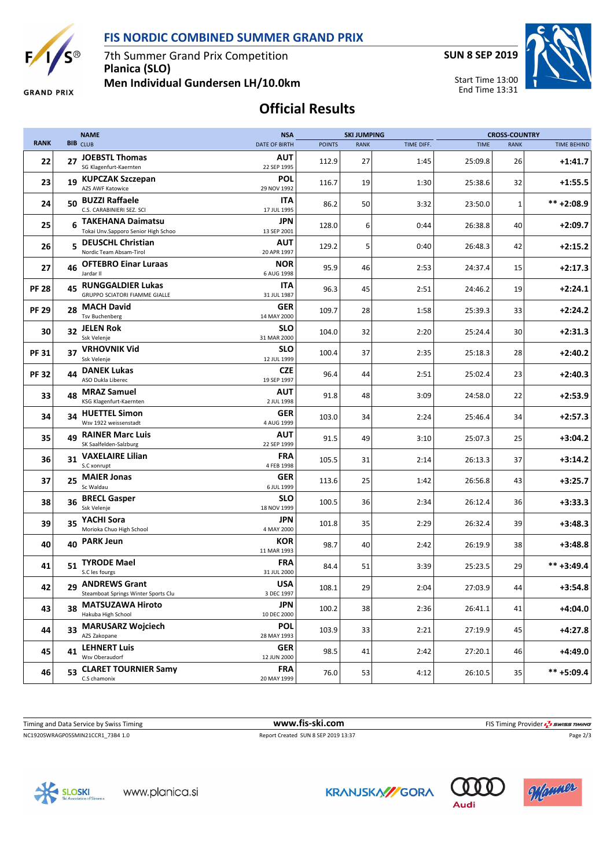

 $\overline{E}$ 

7th Summer Grand Prix Competition **Planica (SLO)**

**SUN 8 SEP 2019**

Start Time 13:00 End Time 13:31



**GRAND PRIX** 

**Men Individual Gundersen LH/10.0km**

## **Official Results**

|              |    | <b>NAME</b><br><b>NSA</b><br><b>SKI JUMPING</b>                  |                           |               | <b>CROSS-COUNTRY</b> |            |             |              |                    |
|--------------|----|------------------------------------------------------------------|---------------------------|---------------|----------------------|------------|-------------|--------------|--------------------|
| <b>RANK</b>  |    | <b>BIB</b> CLUB                                                  | <b>DATE OF BIRTH</b>      | <b>POINTS</b> | <b>RANK</b>          | TIME DIFF. | <b>TIME</b> | <b>RANK</b>  | <b>TIME BEHIND</b> |
| 22           | 27 | <b>JOEBSTL Thomas</b><br>SG Klagenfurt-Kaernten                  | AUT<br>22 SEP 1995        | 112.9         | 27                   | 1:45       | 25:09.8     | 26           | $+1:41.7$          |
| 23           |    | 19 KUPCZAK Szczepan<br>AZS AWF Katowice                          | POL<br>29 NOV 1992        | 116.7         | 19                   | 1:30       | 25:38.6     | 32           | $+1:55.5$          |
| 24           | 50 | <b>BUZZI Raffaele</b><br>C.S. CARABINIERI SEZ. SCI               | ITA<br>17 JUL 1995        | 86.2          | 50                   | 3:32       | 23:50.0     | $\mathbf{1}$ | $*** + 2:08.9$     |
| 25           | 6  | <b>TAKEHANA Daimatsu</b><br>Tokai Unv.Sapporo Senior High Schoo  | JPN<br>13 SEP 2001        | 128.0         | 6                    | 0:44       | 26:38.8     | 40           | $+2:09.7$          |
| 26           | 5  | <b>DEUSCHL Christian</b><br>Nordic Team Absam-Tirol              | <b>AUT</b><br>20 APR 1997 | 129.2         | 5                    | 0:40       | 26:48.3     | 42           | $+2:15.2$          |
| 27           | 46 | <b>OFTEBRO Einar Luraas</b><br>Jardar II                         | <b>NOR</b><br>6 AUG 1998  | 95.9          | 46                   | 2:53       | 24:37.4     | 15           | $+2:17.3$          |
| <b>PF 28</b> | 45 | <b>RUNGGALDIER Lukas</b><br><b>GRUPPO SCIATORI FIAMME GIALLE</b> | ITA<br>31 JUL 1987        | 96.3          | 45                   | 2:51       | 24:46.2     | 19           | $+2:24.1$          |
| <b>PF 29</b> | 28 | <b>MACH David</b><br><b>Tsv Buchenberg</b>                       | <b>GER</b><br>14 MAY 2000 | 109.7         | 28                   | 1:58       | 25:39.3     | 33           | $+2:24.2$          |
| 30           | 32 | <b>JELEN Rok</b><br>Ssk Velenje                                  | <b>SLO</b><br>31 MAR 2000 | 104.0         | 32                   | 2:20       | 25:24.4     | 30           | $+2:31.3$          |
| <b>PF31</b>  |    | 37 VRHOVNIK Vid<br>Ssk Velenje                                   | <b>SLO</b><br>12 JUL 1999 | 100.4         | 37                   | 2:35       | 25:18.3     | 28           | $+2:40.2$          |
| <b>PF32</b>  | 44 | <b>DANEK Lukas</b><br>ASO Dukla Liberec                          | <b>CZE</b><br>19 SEP 1997 | 96.4          | 44                   | 2:51       | 25:02.4     | 23           | $+2:40.3$          |
| 33           | 48 | <b>MRAZ Samuel</b><br>KSG Klagenfurt-Kaernten                    | <b>AUT</b><br>2 JUL 1998  | 91.8          | 48                   | 3:09       | 24:58.0     | 22           | $+2:53.9$          |
| 34           | 34 | <b>HUETTEL Simon</b><br>Wsv 1922 weissenstadt                    | <b>GER</b><br>4 AUG 1999  | 103.0         | 34                   | 2:24       | 25:46.4     | 34           | $+2:57.3$          |
| 35           | 49 | <b>RAINER Marc Luis</b><br>SK Saalfelden-Salzburg                | AUT<br>22 SEP 1999        | 91.5          | 49                   | 3:10       | 25:07.3     | 25           | $+3:04.2$          |
| 36           | 31 | <b>VAXELAIRE Lilian</b><br>S.C xonrupt                           | FRA<br>4 FEB 1998         | 105.5         | 31                   | 2:14       | 26:13.3     | 37           | $+3:14.2$          |
| 37           | 25 | <b>MAIER Jonas</b><br>Sc Waldau                                  | <b>GER</b><br>6 JUL 1999  | 113.6         | 25                   | 1:42       | 26:56.8     | 43           | $+3:25.7$          |
| 38           | 36 | <b>BRECL Gasper</b><br>Ssk Velenje                               | SLO<br>18 NOV 1999        | 100.5         | 36                   | 2:34       | 26:12.4     | 36           | $+3:33.3$          |
| 39           | 35 | YACHI Sora<br>Morioka Chuo High School                           | JPN<br>4 MAY 2000         | 101.8         | 35                   | 2:29       | 26:32.4     | 39           | $+3:48.3$          |
| 40           | 40 | <b>PARK Jeun</b>                                                 | KOR<br>11 MAR 1993        | 98.7          | 40                   | 2:42       | 26:19.9     | 38           | $+3:48.8$          |
| 41           |    | 51 TYRODE Mael<br>S.C les fourgs                                 | FRA<br>31 JUL 2000        | 84.4          | 51                   | 3:39       | 25:23.5     | 29           | $*** +3:49.4$      |
| 42           |    | 29 ANDREWS Grant<br>Steamboat Springs Winter Sports Clu          | <b>USA</b><br>3 DEC 1997  | 108.1         | 29                   | 2:04       | 27:03.9     | 44           | $+3:54.8$          |
| 43           | 38 | <b>MATSUZAWA Hiroto</b><br>Hakuba High School                    | JPN<br>10 DEC 2000        | 100.2         | 38                   | 2:36       | 26:41.1     | 41           | $+4:04.0$          |
| 44           | 33 | <b>MARUSARZ Wojciech</b><br>AZS Zakopane                         | <b>POL</b><br>28 MAY 1993 | 103.9         | 33                   | 2:21       | 27:19.9     | 45           | $+4:27.8$          |
| 45           | 41 | <b>LEHNERT Luis</b><br>Wsv Oberaudorf                            | <b>GER</b><br>12 JUN 2000 | 98.5          | 41                   | 2:42       | 27:20.1     | 46           | $+4:49.0$          |
| 46           | 53 | <b>CLARET TOURNIER Samy</b><br>C.S chamonix                      | <b>FRA</b><br>20 MAY 1999 | 76.0          | 53                   | 4:12       | 26:10.5     | 35           | ** +5:09.4         |

NC1920SWRAGP05SMIN21CCR1\_73B4 1.0 Report Created SUN 8 SEP 2019 13:37 Report Created SUN 8 SEP 2019 13:37 Page 2/3 Timing and Data Service by Swiss Timing **www.fis-ski.com www.fis-ski.com** FIS Timing Provider  $\frac{7}{2}$  swiss Timing